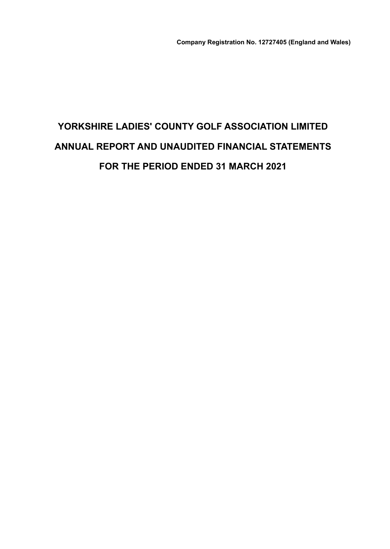# **YORKSHIRE LADIES' COUNTY GOLF ASSOCIATION LIMITED ANNUAL REPORT AND UNAUDITED FINANCIAL STATEMENTS FOR THE PERIOD ENDED 31 MARCH 2021**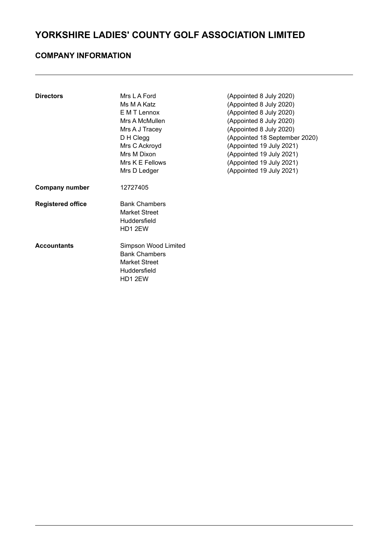### **COMPANY INFORMATION**

| <b>Directors</b>         | Mrs L A Ford         | (Appointed 8 July 2020)       |
|--------------------------|----------------------|-------------------------------|
|                          | Ms M A Katz          | (Appointed 8 July 2020)       |
|                          | E M T Lennox         | (Appointed 8 July 2020)       |
|                          | Mrs A McMullen       | (Appointed 8 July 2020)       |
|                          | Mrs A J Tracey       | (Appointed 8 July 2020)       |
|                          | D H Clegg            | (Appointed 18 September 2020) |
|                          | Mrs C Ackroyd        | (Appointed 19 July 2021)      |
|                          | Mrs M Dixon          | (Appointed 19 July 2021)      |
|                          | Mrs K E Fellows      | (Appointed 19 July 2021)      |
|                          | Mrs D Ledger         | (Appointed 19 July 2021)      |
| <b>Company number</b>    | 12727405             |                               |
| <b>Registered office</b> | <b>Bank Chambers</b> |                               |
|                          | Market Street        |                               |
|                          | Huddersfield         |                               |
|                          | HD1 2EW              |                               |
| <b>Accountants</b>       | Simpson Wood Limited |                               |
|                          | <b>Bank Chambers</b> |                               |
|                          | <b>Market Street</b> |                               |
|                          | Huddersfield         |                               |
|                          | HD1 2EW              |                               |
|                          |                      |                               |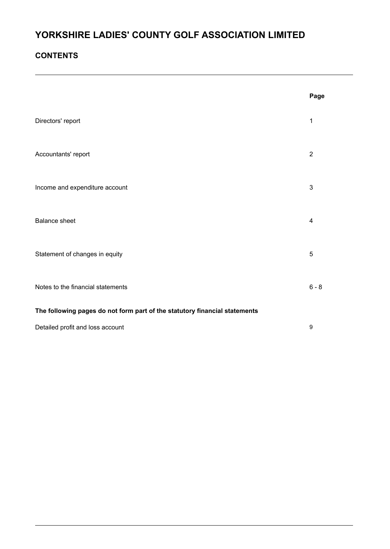### **CONTENTS**

|                                                                            | Page           |
|----------------------------------------------------------------------------|----------------|
| Directors' report                                                          | $\mathbf 1$    |
| Accountants' report                                                        | $\overline{2}$ |
| Income and expenditure account                                             | 3              |
| <b>Balance sheet</b>                                                       | 4              |
| Statement of changes in equity                                             | 5              |
| Notes to the financial statements                                          | $6 - 8$        |
| The following pages do not form part of the statutory financial statements |                |
| Detailed profit and loss account                                           | 9              |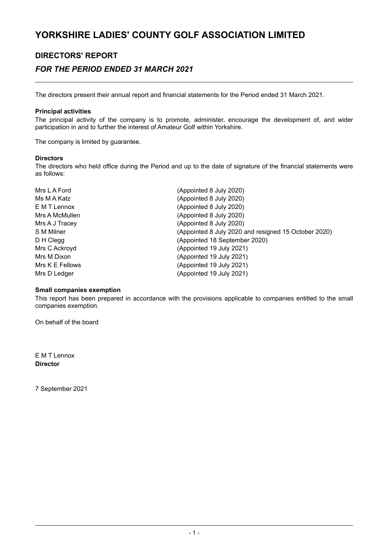### **DIRECTORS' REPORT**

### *FOR THE PERIOD ENDED 31 MARCH 2021*

The directors present their annual report and financial statements for the Period ended 31 March 2021.

#### **Principal activities**

The principal activity of the company is to promote, administer, encourage the development of, and wider participation in and to further the interest of Amateur Golf within Yorkshire.

The company is limited by guarantee.

#### **Directors**

The directors who held office during the Period and up to the date of signature of the financial statements were as follows:

| (Appointed 8 July 2020)                              |
|------------------------------------------------------|
| (Appointed 8 July 2020)                              |
| (Appointed 8 July 2020)                              |
| (Appointed 8 July 2020)                              |
| (Appointed 8 July 2020)                              |
| (Appointed 8 July 2020 and resigned 15 October 2020) |
| (Appointed 18 September 2020)                        |
| (Appointed 19 July 2021)                             |
| (Appointed 19 July 2021)                             |
| (Appointed 19 July 2021)                             |
| (Appointed 19 July 2021)                             |
|                                                      |

#### **Small companies exemption**

This report has been prepared in accordance with the provisions applicable to companies entitled to the small companies exemption.

On behalf of the board

E M T Lennox **Director**

7 September 2021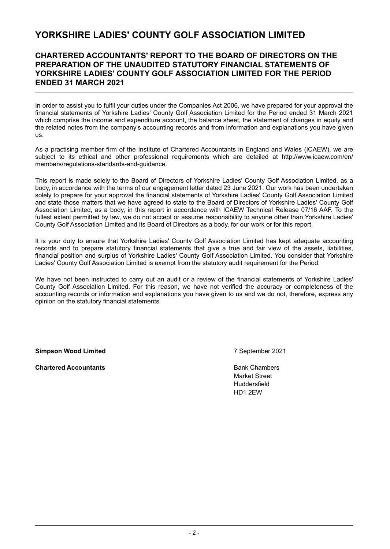### **CHARTERED ACCOUNTANTS' REPORT TO THE BOARD OF DIRECTORS ON THE PREPARATION OF THE UNAUDITED STATUTORY FINANCIAL STATEMENTS OF YORKSHIRE LADIES' COUNTY GOLF ASSOCIATION LIMITED FOR THE PERIOD ENDED 31 MARCH 2021**

In order to assist you to fulfil your duties under the Companies Act 2006, we have prepared for your approval the financial statements of Yorkshire Ladies' County Golf Association Limited for the Period ended 31 March 2021 which comprise the income and expenditure account, the balance sheet, the statement of changes in equity and the related notes from the company's accounting records and from information and explanations you have given us.

As a practising member firm of the Institute of Chartered Accountants in England and Wales (ICAEW), we are subject to its ethical and other professional requirements which are detailed at http://www.icaew.com/en/ members/regulations-standards-and-guidance.

This report is made solely to the Board of Directors of Yorkshire Ladies' County Golf Association Limited, as a body, in accordance with the terms of our engagement letter dated 23 June 2021. Our work has been undertaken solely to prepare for your approval the financial statements of Yorkshire Ladies' County Golf Association Limited and state those matters that we have agreed to state to the Board of Directors of Yorkshire Ladies' County Golf Association Limited, as a body, in this report in accordance with ICAEW Technical Release 07/16 AAF. To the fullest extent permitted by law, we do not accept or assume responsibility to anyone other than Yorkshire Ladies' County Golf Association Limited and its Board of Directors as a body, for our work or for this report.

It is your duty to ensure that Yorkshire Ladies' County Golf Association Limited has kept adequate accounting records and to prepare statutory financial statements that give a true and fair view of the assets, liabilities, financial position and surplus of Yorkshire Ladies' County Golf Association Limited. You consider that Yorkshire Ladies' County Golf Association Limited is exempt from the statutory audit requirement for the Period.

We have not been instructed to carry out an audit or a review of the financial statements of Yorkshire Ladies' County Golf Association Limited. For this reason, we have not verified the accuracy or completeness of the accounting records or information and explanations you have given to us and we do not, therefore, express any opinion on the statutory financial statements.

**Simpson Wood Limited** 7 September 2021

**Chartered Accountants Bank Chambers Bank Chambers** 

Market Street Huddersfield HD1 2EW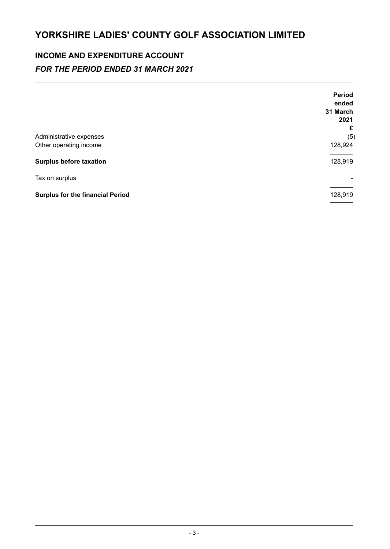# **INCOME AND EXPENDITURE ACCOUNT** *FOR THE PERIOD ENDED 31 MARCH 2021*

|                                         | <b>Period</b> |
|-----------------------------------------|---------------|
|                                         | ended         |
|                                         | 31 March      |
|                                         | 2021          |
|                                         | £             |
| Administrative expenses                 | (5)           |
| Other operating income                  | 128,924       |
| <b>Surplus before taxation</b>          | 128,919       |
| Tax on surplus                          |               |
| <b>Surplus for the financial Period</b> | 128,919       |
|                                         |               |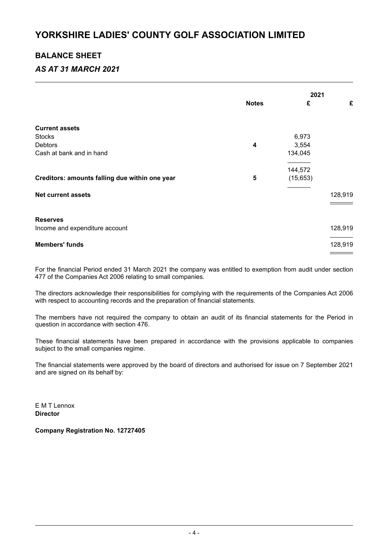### **BALANCE SHEET**

### *AS AT 31 MARCH 2021*

|                                                |                         | 2021      |         |
|------------------------------------------------|-------------------------|-----------|---------|
|                                                | <b>Notes</b>            | £         | £       |
| <b>Current assets</b>                          |                         |           |         |
| <b>Stocks</b>                                  |                         | 6,973     |         |
| <b>Debtors</b>                                 | 4                       | 3,554     |         |
| Cash at bank and in hand                       |                         | 134,045   |         |
|                                                |                         | 144,572   |         |
| Creditors: amounts falling due within one year | $\overline{\mathbf{5}}$ | (15, 653) |         |
| <b>Net current assets</b>                      |                         |           | 128,919 |
|                                                |                         |           |         |
| <b>Reserves</b>                                |                         |           |         |
| Income and expenditure account                 |                         |           | 128,919 |
| <b>Members' funds</b>                          |                         |           | 128,919 |
|                                                |                         |           |         |

For the financial Period ended 31 March 2021 the company was entitled to exemption from audit under section 477 of the Companies Act 2006 relating to small companies.

The directors acknowledge their responsibilities for complying with the requirements of the Companies Act 2006 with respect to accounting records and the preparation of financial statements.

The members have not required the company to obtain an audit of its financial statements for the Period in question in accordance with section 476.

These financial statements have been prepared in accordance with the provisions applicable to companies subject to the small companies regime.

The financial statements were approved by the board of directors and authorised for issue on 7 September 2021 and are signed on its behalf by:

E M T Lennox **Director**

**Company Registration No. 12727405**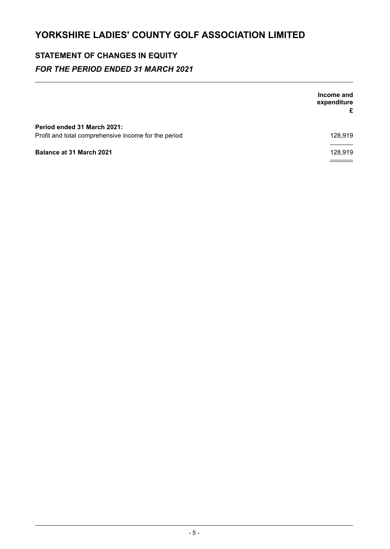## **STATEMENT OF CHANGES IN EQUITY** *FOR THE PERIOD ENDED 31 MARCH 2021*

|                                                      | Income and<br>expenditure<br>£ |
|------------------------------------------------------|--------------------------------|
| Period ended 31 March 2021:                          |                                |
| Profit and total comprehensive income for the period | 128,919                        |
| <b>Balance at 31 March 2021</b>                      | 128,919                        |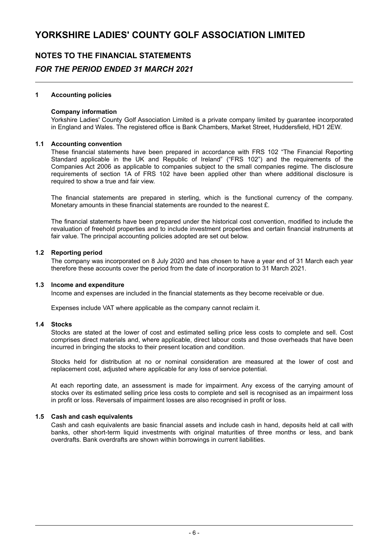### **NOTES TO THE FINANCIAL STATEMENTS** *FOR THE PERIOD ENDED 31 MARCH 2021*

#### **1 Accounting policies**

#### **Company information**

Yorkshire Ladies' County Golf Association Limited is a private company limited by guarantee incorporated in England and Wales. The registered office is Bank Chambers, Market Street, Huddersfield, HD1 2EW.

#### **1.1 Accounting convention**

These financial statements have been prepared in accordance with FRS 102 "The Financial Reporting Standard applicable in the UK and Republic of Ireland" ("FRS 102") and the requirements of the Companies Act 2006 as applicable to companies subject to the small companies regime. The disclosure requirements of section 1A of FRS 102 have been applied other than where additional disclosure is required to show a true and fair view.

The financial statements are prepared in sterling, which is the functional currency of the company. Monetary amounts in these financial statements are rounded to the nearest  $\hat{E}$ .

The financial statements have been prepared under the historical cost convention, modified to include the revaluation of freehold properties and to include investment properties and certain financial instruments at fair value. The principal accounting policies adopted are set out below.

#### **1.2 Reporting period**

The company was incorporated on 8 July 2020 and has chosen to have a year end of 31 March each year therefore these accounts cover the period from the date of incorporation to 31 March 2021.

#### **1.3 Income and expenditure**

Income and expenses are included in the financial statements as they become receivable or due.

Expenses include VAT where applicable as the company cannot reclaim it.

#### **1.4 Stocks**

Stocks are stated at the lower of cost and estimated selling price less costs to complete and sell. Cost comprises direct materials and, where applicable, direct labour costs and those overheads that have been incurred in bringing the stocks to their present location and condition.

Stocks held for distribution at no or nominal consideration are measured at the lower of cost and replacement cost, adjusted where applicable for any loss of service potential.

At each reporting date, an assessment is made for impairment. Any excess of the carrying amount of stocks over its estimated selling price less costs to complete and sell is recognised as an impairment loss in profit or loss. Reversals of impairment losses are also recognised in profit or loss.

#### **1.5 Cash and cash equivalents**

Cash and cash equivalents are basic financial assets and include cash in hand, deposits held at call with banks, other short-term liquid investments with original maturities of three months or less, and bank overdrafts. Bank overdrafts are shown within borrowings in current liabilities.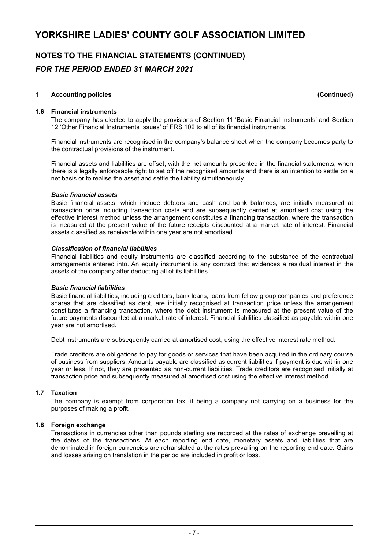### **NOTES TO THE FINANCIAL STATEMENTS (CONTINUED)** *FOR THE PERIOD ENDED 31 MARCH 2021*

#### **1 Accounting policies (Continued)**

### **1.6 Financial instruments**

The company has elected to apply the provisions of Section 11 'Basic Financial Instruments' and Section 12 'Other Financial Instruments Issues' of FRS 102 to all of its financial instruments.

Financial instruments are recognised in the company's balance sheet when the company becomes party to the contractual provisions of the instrument.

Financial assets and liabilities are offset, with the net amounts presented in the financial statements, when there is a legally enforceable right to set off the recognised amounts and there is an intention to settle on a net basis or to realise the asset and settle the liability simultaneously.

#### *Basic financial assets*

Basic financial assets, which include debtors and cash and bank balances, are initially measured at transaction price including transaction costs and are subsequently carried at amortised cost using the effective interest method unless the arrangement constitutes a financing transaction, where the transaction is measured at the present value of the future receipts discounted at a market rate of interest. Financial assets classified as receivable within one year are not amortised.

#### *Classification of financial liabilities*

Financial liabilities and equity instruments are classified according to the substance of the contractual arrangements entered into. An equity instrument is any contract that evidences a residual interest in the assets of the company after deducting all of its liabilities.

#### *Basic financial liabilities*

Basic financial liabilities, including creditors, bank loans, loans from fellow group companies and preference shares that are classified as debt, are initially recognised at transaction price unless the arrangement constitutes a financing transaction, where the debt instrument is measured at the present value of the future payments discounted at a market rate of interest. Financial liabilities classified as payable within one year are not amortised.

Debt instruments are subsequently carried at amortised cost, using the effective interest rate method.

Trade creditors are obligations to pay for goods or services that have been acquired in the ordinary course of business from suppliers. Amounts payable are classified as current liabilities if payment is due within one year or less. If not, they are presented as non-current liabilities. Trade creditors are recognised initially at transaction price and subsequently measured at amortised cost using the effective interest method.

#### **1.7 Taxation**

The company is exempt from corporation tax, it being a company not carrying on a business for the purposes of making a profit.

#### **1.8 Foreign exchange**

Transactions in currencies other than pounds sterling are recorded at the rates of exchange prevailing at the dates of the transactions. At each reporting end date, monetary assets and liabilities that are denominated in foreign currencies are retranslated at the rates prevailing on the reporting end date. Gains and losses arising on translation in the period are included in profit or loss.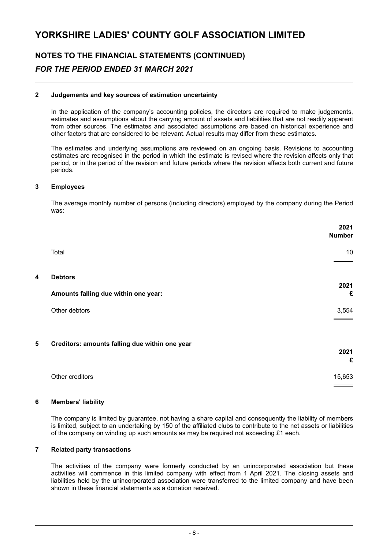### **NOTES TO THE FINANCIAL STATEMENTS (CONTINUED)** *FOR THE PERIOD ENDED 31 MARCH 2021*

#### **2 Judgements and key sources of estimation uncertainty**

In the application of the company's accounting policies, the directors are required to make judgements, estimates and assumptions about the carrying amount of assets and liabilities that are not readily apparent from other sources. The estimates and associated assumptions are based on historical experience and other factors that are considered to be relevant. Actual results may differ from these estimates.

The estimates and underlying assumptions are reviewed on an ongoing basis. Revisions to accounting estimates are recognised in the period in which the estimate is revised where the revision affects only that period, or in the period of the revision and future periods where the revision affects both current and future periods.

#### **3 Employees**

The average monthly number of persons (including directors) employed by the company during the Period was:

|   |                                                | 2021<br><b>Number</b> |
|---|------------------------------------------------|-----------------------|
|   | Total                                          | 10                    |
| 4 | <b>Debtors</b>                                 |                       |
|   | Amounts falling due within one year:           | 2021<br>£             |
|   | Other debtors                                  | 3,554                 |
| 5 | Creditors: amounts falling due within one year |                       |
|   |                                                | 2021<br>£             |
|   | Other creditors                                | 15,653                |

#### **6 Members' liability**

The company is limited by guarantee, not having a share capital and consequently the liability of members is limited, subject to an undertaking by 150 of the affiliated clubs to contribute to the net assets or liabilities of the company on winding up such amounts as may be required not exceeding £1 each.

#### **7 Related party transactions**

The activities of the company were formerly conducted by an unincorporated association but these activities will commence in this limited company with effect from 1 April 2021. The closing assets and liabilities held by the unincorporated association were transferred to the limited company and have been shown in these financial statements as a donation received.